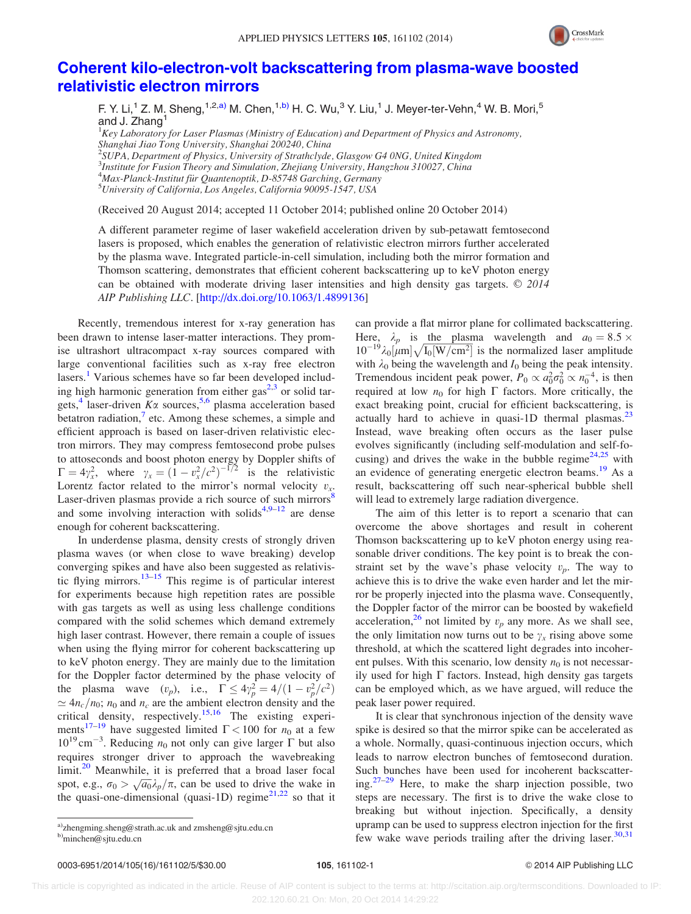

## [Coherent kilo-electron-volt backscattering from plasma-wave boosted](http://dx.doi.org/10.1063/1.4899136) [relativistic electron mirrors](http://dx.doi.org/10.1063/1.4899136)

F. Y. Li,<sup>1</sup> Z. M. Sheng, <sup>1,2,a)</sup> M. Chen, <sup>1,b)</sup> H. C. Wu, <sup>3</sup> Y. Liu, <sup>1</sup> J. Meyer-ter-Vehn, <sup>4</sup> W. B. Mori, <sup>5</sup> and J. Zhang<sup>1</sup>

 ${}^{1}$ Key Laboratory for Laser Plasmas (Ministry of Education) and Department of Physics and Astronomy, Shanghai Jiao Tong University, Shanghai 200240, China <sup>2</sup>SUPA, Department of Physics, University of Strathclyde, Glasgow G4 0NG, United Kingdom <sup>3</sup>Institute for Fusion Theory and Simulation, Zhejiang University, Hangzhou 310027, China <sup>4</sup> Max-Planck-Institut für Quantenoptik, D-85748 Garching, Germany<br><sup>5</sup>University of California, Los Angeles, California 00005, 1547, USA

University of California, Los Angeles, California 90095-1547, USA

(Received 20 August 2014; accepted 11 October 2014; published online 20 October 2014)

A different parameter regime of laser wakefield acceleration driven by sub-petawatt femtosecond lasers is proposed, which enables the generation of relativistic electron mirrors further accelerated by the plasma wave. Integrated particle-in-cell simulation, including both the mirror formation and Thomson scattering, demonstrates that efficient coherent backscattering up to keV photon energy can be obtained with moderate driving laser intensities and high density gas targets.  $\odot$  2014 AIP Publishing LLC. [\[http://dx.doi.org/10.1063/1.4899136](http://dx.doi.org/10.1063/1.4899136)]

Recently, tremendous interest for x-ray generation has been drawn to intense laser-matter interactions. They promise ultrashort ultracompact x-ray sources compared with large conventional facilities such as x-ray free electron lasers.<sup>1</sup> Various schemes have so far been developed including high harmonic generation from either  $gas<sup>2,3</sup>$  or solid targets,<sup>4</sup> laser-driven  $K\alpha$  sources,<sup>5,6</sup> plasma acceleration based betatron radiation, $\frac{7}{1}$  etc. Among these schemes, a simple and efficient approach is based on laser-driven relativistic electron mirrors. They may compress femtosecond probe pulses to attoseconds and boost photon energy by Doppler shifts of  $\Gamma = 4\gamma_x^2$ , where  $\gamma_x = (1 - v_x^2/c^2)^{-1/2}$  is the relativistic Lorentz factor related to the mirror's normal velocity  $v_x$ . Laser-driven plasmas provide a rich source of such mirrors<sup>8</sup> and some involving interaction with solids<sup>4,9–12</sup> are dense enough for coherent backscattering.

In underdense plasma, density crests of strongly driven plasma waves (or when close to wave breaking) develop converging spikes and have also been suggested as relativistic flying mirrors. $13-15$  This regime is of particular interest for experiments because high repetition rates are possible with gas targets as well as using less challenge conditions compared with the solid schemes which demand extremely high laser contrast. However, there remain a couple of issues when using the flying mirror for coherent backscattering up to keV photon energy. They are mainly due to the limitation for the Doppler factor determined by the phase velocity of the plasma wave  $(v_p)$ , i.e.,  $\Gamma \le 4\gamma_p^2 = 4/(1 - v_p^2/c^2)$  $\simeq 4n_c/n_0$ ;  $n_0$  and  $n_c$  are the ambient electron density and the critical density, respectively.<sup>15,16</sup> The existing experiments<sup>17–19</sup> have suggested limited  $\Gamma$  < 100 for  $n_0$  at a few  $10^{19}$  cm<sup>-3</sup>. Reducing  $n_0$  not only can give larger  $\Gamma$  but also requires stronger driver to approach the wavebreaking  $limit.<sup>20</sup>$  Meanwhile, it is preferred that a broad laser focal spot, e.g.,  $\sigma_0 > \sqrt{a_0} \lambda_p / \pi$ , can be used to drive the wake in the quasi-one-dimensional (quasi-1D) regime $2^{1,22}$  so that it can provide a flat mirror plane for collimated backscattering. Here,  $\lambda_p$  is the plasma wavelength and  $a_0 = 8.5 \times$ 10<sup>-19</sup> $\lambda_0$ [ $\mu$ m] $\sqrt{I_0[W/cm^2]}$  is the normalized laser amplitude with  $\lambda_0$  being the wavelength and  $I_0$  being the peak intensity. Tremendous incident peak power,  $P_0 \propto a_0^2 \sigma_0^2 \propto n_0^{-4}$ , is then required at low  $n_0$  for high  $\Gamma$  factors. More critically, the exact breaking point, crucial for efficient backscattering, is actually hard to achieve in quasi-1D thermal plasmas.<sup>23</sup> Instead, wave breaking often occurs as the laser pulse evolves significantly (including self-modulation and self-focusing) and drives the wake in the bubble regime $2^{4,25}$  with an evidence of generating energetic electron beams.<sup>19</sup> As a result, backscattering off such near-spherical bubble shell will lead to extremely large radiation divergence.

The aim of this letter is to report a scenario that can overcome the above shortages and result in coherent Thomson backscattering up to keV photon energy using reasonable driver conditions. The key point is to break the constraint set by the wave's phase velocity  $v_p$ . The way to achieve this is to drive the wake even harder and let the mirror be properly injected into the plasma wave. Consequently, the Doppler factor of the mirror can be boosted by wakefield acceleration,<sup>26</sup> not limited by  $v_p$  any more. As we shall see, the only limitation now turns out to be  $\gamma_x$  rising above some threshold, at which the scattered light degrades into incoherent pulses. With this scenario, low density  $n_0$  is not necessarily used for high  $\Gamma$  factors. Instead, high density gas targets can be employed which, as we have argued, will reduce the peak laser power required.

It is clear that synchronous injection of the density wave spike is desired so that the mirror spike can be accelerated as a whole. Normally, quasi-continuous injection occurs, which leads to narrow electron bunches of femtosecond duration. Such bunches have been used for incoherent backscattering.27–29 Here, to make the sharp injection possible, two steps are necessary. The first is to drive the wake close to breaking but without injection. Specifically, a density upramp can be used to suppress electron injection for the first few wake wave periods trailing after the driving laser.<sup>30,31</sup>

a)[zhengming.sheng@strath.ac.uk](mailto:zhengming.sheng@strath.ac.uk) and [zmsheng@sjtu.edu.cn](mailto:zmsheng@sjtu.edu.cn) b[\)minchen@sjtu.edu.cn](mailto:minchen@sjtu.edu.cn)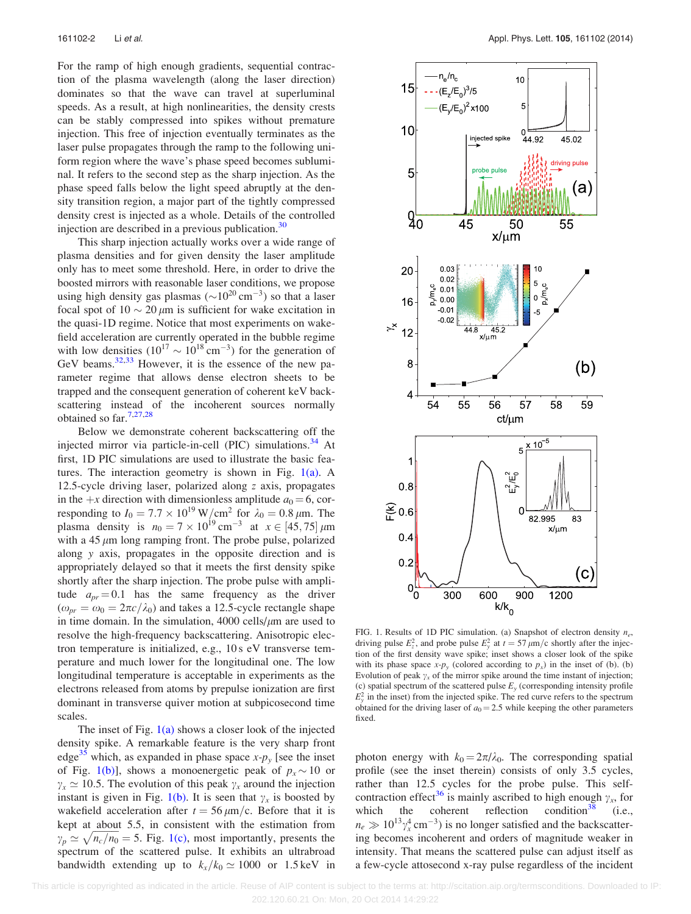For the ramp of high enough gradients, sequential contraction of the plasma wavelength (along the laser direction) dominates so that the wave can travel at superluminal speeds. As a result, at high nonlinearities, the density crests can be stably compressed into spikes without premature injection. This free of injection eventually terminates as the laser pulse propagates through the ramp to the following uniform region where the wave's phase speed becomes subluminal. It refers to the second step as the sharp injection. As the phase speed falls below the light speed abruptly at the density transition region, a major part of the tightly compressed density crest is injected as a whole. Details of the controlled injection are described in a previous publication. $30$ 

This sharp injection actually works over a wide range of plasma densities and for given density the laser amplitude only has to meet some threshold. Here, in order to drive the boosted mirrors with reasonable laser conditions, we propose using high density gas plasmas ( $\sim$ 10<sup>20</sup> cm<sup>-3</sup>) so that a laser focal spot of  $10 \sim 20 \mu m$  is sufficient for wake excitation in the quasi-1D regime. Notice that most experiments on wakefield acceleration are currently operated in the bubble regime with low densities  $(10^{17} \sim 10^{18} \text{ cm}^{-3})$  for the generation of GeV beams. $32,33$  However, it is the essence of the new parameter regime that allows dense electron sheets to be trapped and the consequent generation of coherent keV backscattering instead of the incoherent sources normally obtained so far.7,27,28

Below we demonstrate coherent backscattering off the injected mirror via particle-in-cell (PIC) simulations.<sup>34</sup> At first, 1D PIC simulations are used to illustrate the basic features. The interaction geometry is shown in Fig.  $1(a)$ . A 12.5-cycle driving laser, polarized along z axis, propagates in the +x direction with dimensionless amplitude  $a_0 = 6$ , corresponding to  $I_0 = 7.7 \times 10^{19} \,\mathrm{W/cm^2}$  for  $\lambda_0 = 0.8 \,\mu \mathrm{m}$ . The plasma density is  $n_0 = 7 \times 10^{19} \text{ cm}^{-3}$  at  $x \in [45, 75] \mu \text{m}$ with a  $45 \mu m$  long ramping front. The probe pulse, polarized along y axis, propagates in the opposite direction and is appropriately delayed so that it meets the first density spike shortly after the sharp injection. The probe pulse with amplitude  $a_{pr} = 0.1$  has the same frequency as the driver  $(\omega_{pr} = \omega_0 = 2\pi c/\lambda_0)$  and takes a 12.5-cycle rectangle shape in time domain. In the simulation,  $4000$  cells/ $\mu$ m are used to resolve the high-frequency backscattering. Anisotropic electron temperature is initialized, e.g., 10 s eV transverse temperature and much lower for the longitudinal one. The low longitudinal temperature is acceptable in experiments as the electrons released from atoms by prepulse ionization are first dominant in transverse quiver motion at subpicosecond time scales.

The inset of Fig. 1(a) shows a closer look of the injected density spike. A remarkable feature is the very sharp front edge<sup>35</sup> which, as expanded in phase space  $x-p<sub>y</sub>$  [see the inset of Fig. 1(b)], shows a monoenergetic peak of  $p_x \sim 10$  or  $\gamma_x \simeq 10.5$ . The evolution of this peak  $\gamma_x$  around the injection instant is given in Fig. 1(b). It is seen that  $\gamma_x$  is boosted by wakefield acceleration after  $t = 56 \mu m/c$ . Before that it is kept at about 5.5, in consistent with the estimation from  $\gamma_p \simeq \sqrt{n_c/n_0} = 5$ . Fig. 1(c), most importantly, presents the spectrum of the scattered pulse. It exhibits an ultrabroad bandwidth extending up to  $k_x/k_0 \approx 1000$  or 1.5 keV in



FIG. 1. Results of 1D PIC simulation. (a) Snapshot of electron density  $n_e$ , driving pulse  $E_z^2$ , and probe pulse  $E_y^2$  at  $t = 57 \mu m/c$  shortly after the injection of the first density wave spike; inset shows a closer look of the spike with its phase space  $x-p_y$  (colored according to  $p_x$ ) in the inset of (b). (b) Evolution of peak  $\gamma_x$  of the mirror spike around the time instant of injection; (c) spatial spectrum of the scattered pulse  $E_y$  (corresponding intensity profile  $E_y^2$  in the inset) from the injected spike. The red curve refers to the spectrum obtained for the driving laser of  $a_0 = 2.5$  while keeping the other parameters fixed.

photon energy with  $k_0 = 2\pi/\lambda_0$ . The corresponding spatial profile (see the inset therein) consists of only 3.5 cycles, rather than 12.5 cycles for the probe pulse. This selfcontraction effect<sup>36</sup> is mainly ascribed to high enough  $\gamma_x$ , for which the coherent reflection condition<sup>38</sup> (i.e., the coherent reflection condition<sup>38</sup> (i.e.,  $n_e \gg 10^{13} \gamma_x^4 \text{ cm}^{-3}$ ) is no longer satisfied and the backscattering becomes incoherent and orders of magnitude weaker in intensity. That means the scattered pulse can adjust itself as a few-cycle attosecond x-ray pulse regardless of the incident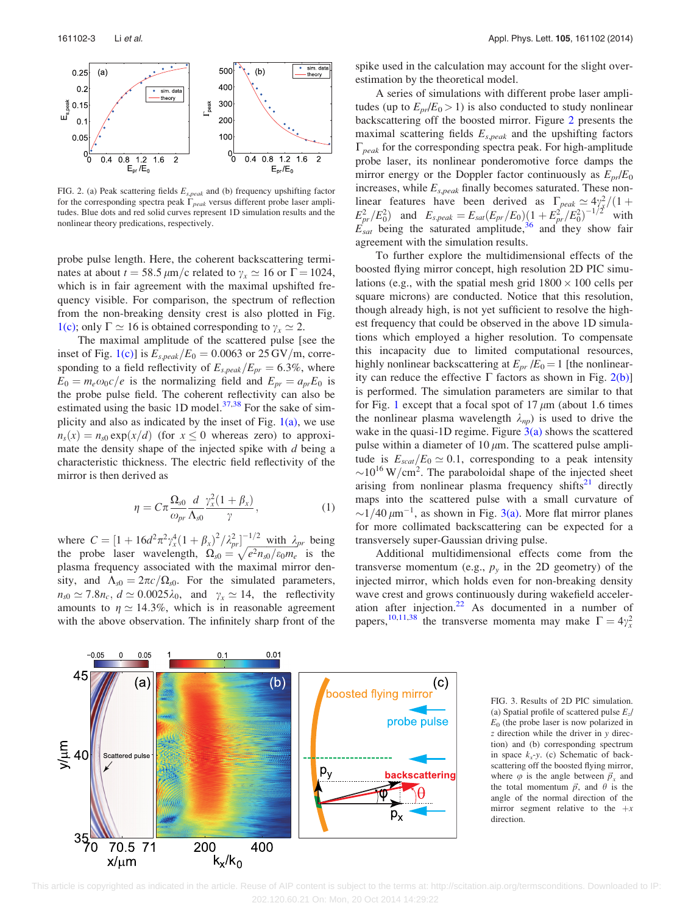

FIG. 2. (a) Peak scattering fields  $E_{s,peak}$  and (b) frequency upshifting factor for the corresponding spectra peak  $\Gamma_{peak}$  versus different probe laser amplitudes. Blue dots and red solid curves represent 1D simulation results and the nonlinear theory predications, respectively.

probe pulse length. Here, the coherent backscattering terminates at about  $t = 58.5 \,\mu\text{m/c}$  related to  $\gamma_x \approx 16$  or  $\Gamma = 1024$ , which is in fair agreement with the maximal upshifted frequency visible. For comparison, the spectrum of reflection from the non-breaking density crest is also plotted in Fig. 1(c); only  $\Gamma \simeq 16$  is obtained corresponding to  $\gamma_x \simeq 2$ .

The maximal amplitude of the scattered pulse [see the inset of Fig. 1(c)] is  $E_{s,peak}/E_0 = 0.0063$  or 25 GV/m, corresponding to a field reflectivity of  $E_{s,peak}/E_{pr} = 6.3\%$ , where  $E_0 = m_e \omega_0 c/e$  is the normalizing field and  $E_{pr} = a_{pr}E_0$  is the probe pulse field. The coherent reflectivity can also be estimated using the basic 1D model. $37,38$  For the sake of simplicity and also as indicated by the inset of Fig.  $1(a)$ , we use  $n_s(x) = n_{s0} \exp(x/d)$  (for  $x \le 0$  whereas zero) to approximate the density shape of the injected spike with  $d$  being a characteristic thickness. The electric field reflectivity of the mirror is then derived as

$$
\eta = C\pi \frac{\Omega_{s0}}{\omega_{pr}} \frac{d}{\Lambda_{s0}} \frac{\gamma_x^2 (1 + \beta_x)}{\gamma}, \qquad (1)
$$

where  $C = \left[1 + 16d^2\pi^2\gamma_x^4(1+\beta_x)^2/\lambda_{pr}^2\right]^{-1/2}$  with  $\lambda_{pr}$  being the probe laser wavelength,  $\Omega_{s0} = \sqrt{e^2 n_{s0}/\epsilon_0 m_e}$  is the plasma frequency associated with the maximal mirror density, and  $\Lambda_{s0} = 2\pi c/\Omega_{s0}$ . For the simulated parameters,  $n_{s0} \simeq 7.8n_c$ ,  $d \simeq 0.0025\lambda_0$ , and  $\gamma_x \simeq 14$ , the reflectivity amounts to  $\eta \simeq 14.3\%$ , which is in reasonable agreement with the above observation. The infinitely sharp front of the spike used in the calculation may account for the slight overestimation by the theoretical model.

A series of simulations with different probe laser amplitudes (up to  $E_{pr}/E_0 > 1$ ) is also conducted to study nonlinear backscattering off the boosted mirror. Figure 2 presents the maximal scattering fields  $E_{s,peak}$  and the upshifting factors  $\Gamma_{peak}$  for the corresponding spectra peak. For high-amplitude probe laser, its nonlinear ponderomotive force damps the mirror energy or the Doppler factor continuously as  $E_{pr}/E_0$ increases, while  $E_{s,peak}$  finally becomes saturated. These nonlinear features have been derived as  $\Gamma_{peak} \simeq 4\gamma_x^2/(1+\gamma_z^2)$  $E_{pr}^2/E_0^2$  and  $E_{s,peak} = E_{sat}(E_{pr}/E_0)(1 + E_{pr}^2/E_0^2)^{-1/2}$  with  $E_{sat}^{F}$  being the saturated amplitude,<sup>36</sup> and they show fair agreement with the simulation results.

To further explore the multidimensional effects of the boosted flying mirror concept, high resolution 2D PIC simulations (e.g., with the spatial mesh grid  $1800 \times 100$  cells per square microns) are conducted. Notice that this resolution, though already high, is not yet sufficient to resolve the highest frequency that could be observed in the above 1D simulations which employed a higher resolution. To compensate this incapacity due to limited computational resources, highly nonlinear backscattering at  $E_{pr}/E_0 = 1$  [the nonlinearity can reduce the effective  $\Gamma$  factors as shown in Fig. 2(b)] is performed. The simulation parameters are similar to that for Fig. 1 except that a focal spot of  $17 \mu m$  (about 1.6 times the nonlinear plasma wavelength  $\lambda_{np}$ ) is used to drive the wake in the quasi-1D regime. Figure  $3(a)$  shows the scattered pulse within a diameter of 10  $\mu$ m. The scattered pulse amplitude is  $E_{scat}/E_0 \simeq 0.1$ , corresponding to a peak intensity  $\sim$ 10<sup>16</sup> W/cm<sup>2</sup>. The paraboloidal shape of the injected sheet arising from nonlinear plasma frequency shifts $21$  directly maps into the scattered pulse with a small curvature of  $\sim$ 1/40  $\mu$ m<sup>-1</sup>, as shown in Fig. 3(a). More flat mirror planes for more collimated backscattering can be expected for a transversely super-Gaussian driving pulse.

Additional multidimensional effects come from the transverse momentum (e.g.,  $p_y$  in the 2D geometry) of the injected mirror, which holds even for non-breaking density wave crest and grows continuously during wakefield acceleration after injection. $22$  As documented in a number of papers,<sup>10,11,38</sup> the transverse momenta may make  $\Gamma = 4\gamma_x^2$ 



FIG. 3. Results of 2D PIC simulation. (a) Spatial profile of scattered pulse  $E_z/$  $E<sub>0</sub>$  (the probe laser is now polarized in z direction while the driver in y direction) and (b) corresponding spectrum in space  $k_x$ -y. (c) Schematic of backscattering off the boosted flying mirror, where  $\varphi$  is the angle between  $\vec{p}_x$  and the total momentum  $\vec{p}$ , and  $\theta$  is the angle of the normal direction of the mirror segment relative to the  $+x$ direction.

This article is copyrighted as indicated in the article. Reuse of AIP content is subject to the terms at: http://scitation.aip.org/termsconditions. Downloaded to IP: 202.120.60.21 On: Mon, 20 Oct 2014 14:29:22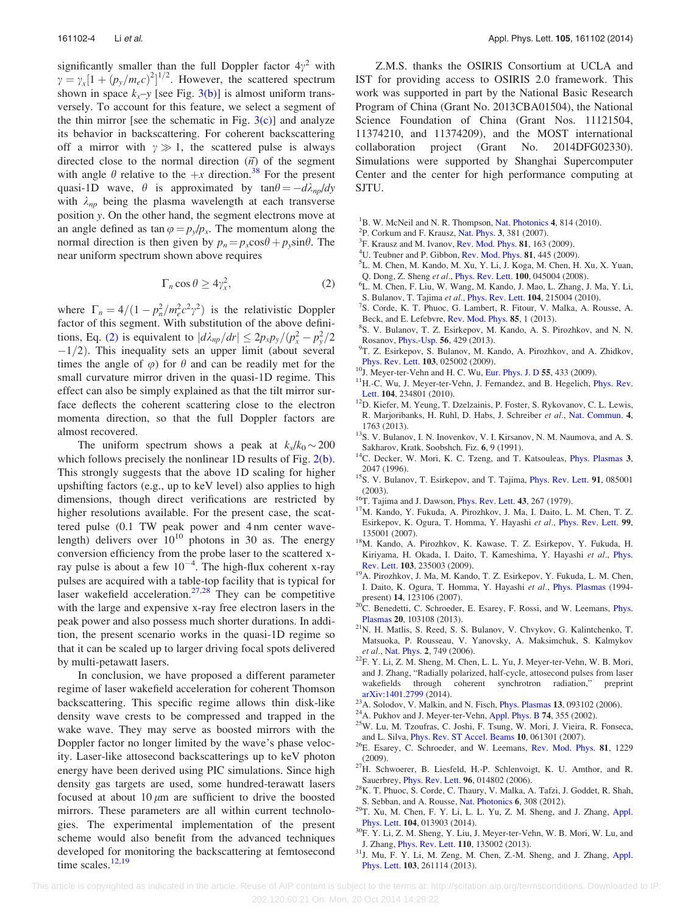significantly smaller than the full Doppler factor  $4\gamma^2$  with  $\gamma = \gamma_x [1 + (p_y/m_e c)^2]^{1/2}$ . However, the scattered spectrum shown in space  $k_x$ -y [see Fig. 3(b)] is almost uniform transversely. To account for this feature, we select a segment of the thin mirror [see the schematic in Fig.  $3(c)$ ] and analyze its behavior in backscattering. For coherent backscattering off a mirror with  $\gamma \gg 1$ , the scattered pulse is always directed close to the normal direction  $(\vec{n})$  of the segment with angle  $\theta$  relative to the  $+x$  direction.<sup>38</sup> For the present quasi-1D wave,  $\theta$  is approximated by  $tan \theta = -d\lambda_{np}/dy$ with  $\lambda_{np}$  being the plasma wavelength at each transverse position y. On the other hand, the segment electrons move at an angle defined as tan  $\varphi = p_y/p_x$ . The momentum along the normal direction is then given by  $p_n = p_x \cos\theta + p_y \sin\theta$ . The near uniform spectrum shown above requires

$$
\Gamma_n \cos \theta \ge 4\gamma_x^2, \tag{2}
$$

where  $\Gamma_n = 4/(1 - p_n^2/m_e^2 c^2 \gamma^2)$  is the relativistic Doppler factor of this segment. With substitution of the above definitions, Eq. (2) is equivalent to  $\left| \frac{d\lambda_{np}}{dr} \right| \leq \frac{2p_x p_y}{(p_x^2 - p_y^2/2)}$  $-1/2$ ). This inequality sets an upper limit (about several times the angle of  $\varphi$ ) for  $\theta$  and can be readily met for the small curvature mirror driven in the quasi-1D regime. This effect can also be simply explained as that the tilt mirror surface deflects the coherent scattering close to the electron momenta direction, so that the full Doppler factors are almost recovered.

The uniform spectrum shows a peak at  $k_x/k_0 \sim 200$ which follows precisely the nonlinear 1D results of Fig.  $2(b)$ . This strongly suggests that the above 1D scaling for higher upshifting factors (e.g., up to keV level) also applies to high dimensions, though direct verifications are restricted by higher resolutions available. For the present case, the scattered pulse (0.1 TW peak power and 4 nm center wavelength) delivers over  $10^{10}$  photons in 30 as. The energy conversion efficiency from the probe laser to the scattered xray pulse is about a few  $10^{-4}$ . The high-flux coherent x-ray pulses are acquired with a table-top facility that is typical for laser wakefield acceleration.<sup>27,28</sup> They can be competitive with the large and expensive x-ray free electron lasers in the peak power and also possess much shorter durations. In addition, the present scenario works in the quasi-1D regime so that it can be scaled up to larger driving focal spots delivered by multi-petawatt lasers.

In conclusion, we have proposed a different parameter regime of laser wakefield acceleration for coherent Thomson backscattering. This specific regime allows thin disk-like density wave crests to be compressed and trapped in the wake wave. They may serve as boosted mirrors with the Doppler factor no longer limited by the wave's phase velocity. Laser-like attosecond backscatterings up to keV photon energy have been derived using PIC simulations. Since high density gas targets are used, some hundred-terawatt lasers focused at about 10  $\mu$ m are sufficient to drive the boosted mirrors. These parameters are all within current technologies. The experimental implementation of the present scheme would also benefit from the advanced techniques developed for monitoring the backscattering at femtosecond time scales. $12,19$ 

Z.M.S. thanks the OSIRIS Consortium at UCLA and IST for providing access to OSIRIS 2.0 framework. This work was supported in part by the National Basic Research Program of China (Grant No. 2013CBA01504), the National Science Foundation of China (Grant Nos. 11121504, 11374210, and 11374209), and the MOST international collaboration project (Grant No. 2014DFG02330). Simulations were supported by Shanghai Supercomputer Center and the center for high performance computing at SJTU.

- <sup>1</sup>B. W. McNeil and N. R. Thompson, [Nat. Photonics](http://dx.doi.org/10.1038/nphoton.2010.239) 4, 814 (2010).
- $P^2P$ . Corkum and F. Krausz, [Nat. Phys.](http://dx.doi.org/10.1038/nphys620) 3, 381 (2007).
- ${}^{3}$ F. Krausz and M. Ivanov, [Rev. Mod. Phys.](http://dx.doi.org/10.1103/RevModPhys.81.163) 81, 163 (2009).
- <sup>4</sup>U. Teubner and P. Gibbon, [Rev. Mod. Phys.](http://dx.doi.org/10.1103/RevModPhys.81.445) **81**, 445 (2009).
- ${}^5L$ . M. Chen, M. Kando, M. Xu, Y. Li, J. Koga, M. Chen, H. Xu, X. Yuan,
- Q. Dong, Z. Sheng et al., *[Phys. Rev. Lett.](http://dx.doi.org/10.1103/PhysRevLett.100.045004)* **100**, 045004 (2008).
- L. M. Chen, F. Liu, W. Wang, M. Kando, J. Mao, L. Zhang, J. Ma, Y. Li,
- S. Bulanov, T. Tajima et al., *[Phys. Rev. Lett.](http://dx.doi.org/10.1103/PhysRevLett.104.215004)* **104**, 215004 (2010). <sup>7</sup>S. Corde, K. T. Phuoc, G. Lambert, R. Fitour, V. Malka, A. Rousse, A.
- Beck, and E. Lefebvre, [Rev. Mod. Phys.](http://dx.doi.org/10.1103/RevModPhys.85.1) 85, 1 (2013).
- S. V. Bulanov, T. Z. Esirkepov, M. Kando, A. S. Pirozhkov, and N. N. Rosanov, *[Phys.-Usp.](http://dx.doi.org/10.3367/UFNe.0183.201305a.0449)* 56, 429 (2013).
- <sup>9</sup>T. Z. Esirkepov, S. Bulanov, M. Kando, A. Pirozhkov, and A. Zhidkov,
- 
- [Phys. Rev. Lett.](http://dx.doi.org/10.1103/PhysRevLett.103.025002)  $103$ , 025002 (2009).<br><sup>10</sup>J. Meyer-ter-Vehn and H. C. Wu, [Eur. Phys. J. D](http://dx.doi.org/10.1140/epjd/e2009-00081-1) 55, 433 (2009).<br><sup>11</sup>H.-C. Wu, J. Meyer-ter-Vehn, J. Fernandez, and B. Hegelich, [Phys. Rev.](http://dx.doi.org/10.1103/PhysRevLett.104.234801)
- [Lett.](http://dx.doi.org/10.1103/PhysRevLett.104.234801) 104, 234801 (2010). 12D. Kiefer, M. Yeung, T. Dzelzainis, P. Foster, S. Rykovanov, C. L. Lewis, R. Marjoribanks, H. Ruhl, D. Habs, J. Schreiber et al., [Nat. Commun.](http://dx.doi.org/10.1038/ncomms2775) 4,
- 1763 (2013).  $13S$ . V. Bulanov, I. N. Inovenkov, V. I. Kirsanov, N. M. Naumova, and A. S.
- Sakharov, Kratk. Soobshch. Fiz. 6, 9 (1991). <sup>14</sup>C. Decker, W. Mori, K. C. Tzeng, and T. Katsouleas, [Phys. Plasmas](http://dx.doi.org/10.1063/1.872001) 3,
- 2047 (1996).  $15S$ . V. Bulanov, T. Esirkepov, and T. Tajima, [Phys. Rev. Lett.](http://dx.doi.org/10.1103/PhysRevLett.91.085001) 91, 085001
- 
- (2003).<br><sup>16</sup>T. Tajima and J. Dawson, [Phys. Rev. Lett.](http://dx.doi.org/10.1103/PhysRevLett.43.267) **43**, 267 (1979).<br><sup>17</sup>M. Kando, Y. Fukuda, A. Pirozhkov, J. Ma, I. Daito, L. M. Chen, T. Z. Esirkepov, K. Ogura, T. Homma, Y. Hayashi et al., [Phys. Rev. Lett.](http://dx.doi.org/10.1103/PhysRevLett.99.135001) 99,
- 135001 (2007).  $18M$ . Kando, A. Pirozhkov, K. Kawase, T. Z. Esirkepov, Y. Fukuda, H. Kiriyama, H. Okada, I. Daito, T. Kameshima, Y. Hayashi et al., [Phys.](http://dx.doi.org/10.1103/PhysRevLett.103.235003)
- [Rev. Lett.](http://dx.doi.org/10.1103/PhysRevLett.103.235003) **103**, 235003 (2009). <sup>19</sup>A. Pirozhkov, J. Ma, M. Kando, T. Z. Esirkepov, Y. Fukuda, L. M. Chen, I. Daito, K. Ogura, T. Homma, Y. Hayashi et al., [Phys. Plasmas](http://dx.doi.org/10.1063/1.2816443) (1994-
- present) 14, 123106 (2007). <sup>20</sup>C. Benedetti, C. Schroeder, E. Esarey, F. Rossi, and W. Leemans, *[Phys.](http://dx.doi.org/10.1063/1.4824811)*
- [Plasmas](http://dx.doi.org/10.1063/1.4824811) 20, 103108 (2013). <sup>21</sup>N. H. Matlis, S. Reed, S. S. Bulanov, V. Chvykov, G. Kalintchenko, T. Matsuoka, P. Rousseau, V. Yanovsky, A. Maksimchuk, S. Kalmykov
- <sup>22</sup>F. Y. Li, Z. M. Sheng, M. Chen, L. L. Yu, J. Meyer-ter-Vehn, W. B. Mori, and J. Zhang, "Radially polarized, half-cycle, attosecond pulses from laser wakefields through coherent synchrotron radiation," preprint wakefields through coherent synchrotron radiation," preprint
- 
- 
- [arXiv:1401.2799](http://arxiv.org/abs/1401.2799) (2014).<br><sup>23</sup>A. Solodov, V. Malkin, and N. Fisch, *[Phys. Plasmas](http://dx.doi.org/10.1063/1.2348087)* **13**, 093102 (2006).<br><sup>24</sup>A. Pukhov and J. Meyer-ter-Vehn, Appl. *Phys. B* **74**, 355 (2002).<br><sup>25</sup>W. Lu, M. Tzoufras, C. Joshi, F. Tsung, W. Mo
- and L. Silva, [Phys. Rev. ST Accel. Beams](http://dx.doi.org/10.1103/PhysRevSTAB.10.061301) <sup>10</sup>, 061301 (2007). 26E. Esarey, C. Schroeder, and W. Leemans, [Rev. Mod. Phys.](http://dx.doi.org/10.1103/RevModPhys.81.1229) <sup>81</sup>, 1229
- (2009).<br><sup>27</sup>H. Schwoerer, B. Liesfeld, H.-P. Schlenvoigt, K. U. Amthor, and R. Sauerbrey, *Phys. Rev. Lett.* **96**, 014802 (2006).
- $28$ K. T. Phuoc, S. Corde, C. Thaury, V. Malka, A. Tafzi, J. Goddet, R. Shah,
- S. Sebban, and A. Rousse, [Nat. Photonics](http://dx.doi.org/10.1038/nphoton.2012.82) <sup>6</sup>, 308 (2012). 29T. Xu, M. Chen, F. Y. Li, L. L. Yu, Z. M. Sheng, and J. Zhang, [Appl.](http://dx.doi.org/10.1063/1.4861594)
- [Phys. Lett.](http://dx.doi.org/10.1063/1.4861594) 104, 013903 (2014). <sup>30</sup>F. Y. Li, Z. M. Sheng, Y. Liu, J. Meyer-ter-Vehn, W. B. Mori, W. Lu, and J. Zhang, Phys. Rev. Lett. 110, 135002 (2013).
- <sup>31</sup>J. Mu, F. Y. Li, M. Zeng, M. Chen, Z.-M. Sheng, and J. Zhang, [Appl.](http://dx.doi.org/10.1063/1.4858960) [Phys. Lett.](http://dx.doi.org/10.1063/1.4858960) 103, 261114 (2013).